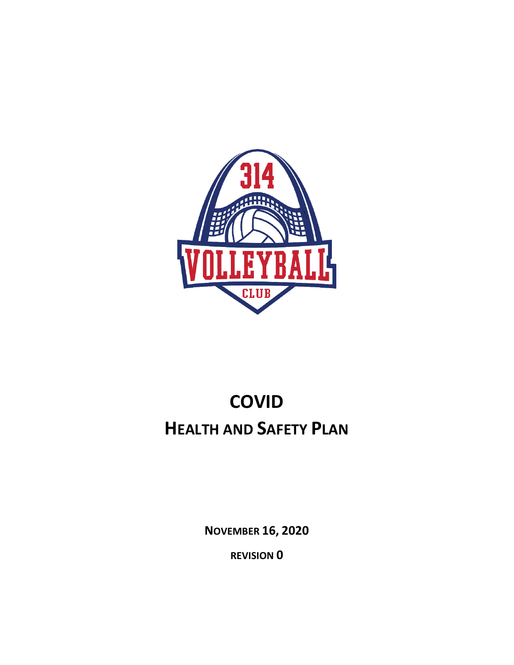

# **COVID HEALTH AND SAFETY PLAN**

**NOVEMBER 16, 2020**

**REVISION 0**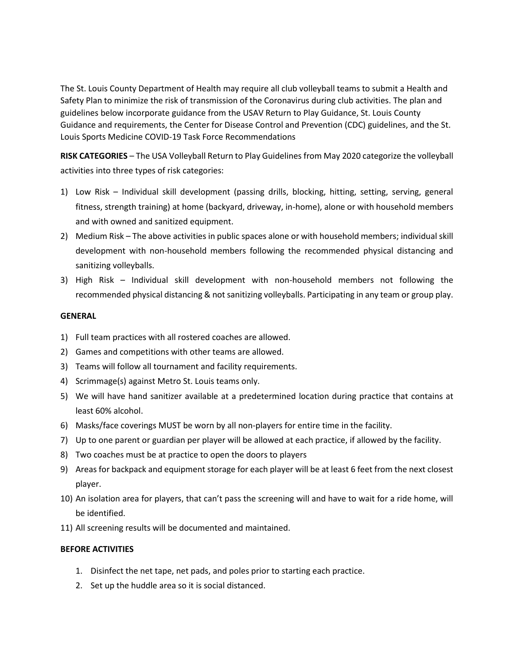The St. Louis County Department of Health may require all club volleyball teams to submit a Health and Safety Plan to minimize the risk of transmission of the Coronavirus during club activities. The plan and guidelines below incorporate guidance from the USAV Return to Play Guidance, St. Louis County Guidance and requirements, the Center for Disease Control and Prevention (CDC) guidelines, and the St. Louis Sports Medicine COVID-19 Task Force Recommendations

**RISK CATEGORIES** – The USA Volleyball Return to Play Guidelines from May 2020 categorize the volleyball activities into three types of risk categories:

- 1) Low Risk Individual skill development (passing drills, blocking, hitting, setting, serving, general fitness, strength training) at home (backyard, driveway, in-home), alone or with household members and with owned and sanitized equipment.
- 2) Medium Risk The above activities in public spaces alone or with household members; individual skill development with non-household members following the recommended physical distancing and sanitizing volleyballs.
- 3) High Risk Individual skill development with non-household members not following the recommended physical distancing & not sanitizing volleyballs. Participating in any team or group play.

#### **GENERAL**

- 1) Full team practices with all rostered coaches are allowed.
- 2) Games and competitions with other teams are allowed.
- 3) Teams will follow all tournament and facility requirements.
- 4) Scrimmage(s) against Metro St. Louis teams only.
- 5) We will have hand sanitizer available at a predetermined location during practice that contains at least 60% alcohol.
- 6) Masks/face coverings MUST be worn by all non-players for entire time in the facility.
- 7) Up to one parent or guardian per player will be allowed at each practice, if allowed by the facility.
- 8) Two coaches must be at practice to open the doors to players
- 9) Areas for backpack and equipment storage for each player will be at least 6 feet from the next closest player.
- 10) An isolation area for players, that can't pass the screening will and have to wait for a ride home, will be identified.
- 11) All screening results will be documented and maintained.

#### **BEFORE ACTIVITIES**

- 1. Disinfect the net tape, net pads, and poles prior to starting each practice.
- 2. Set up the huddle area so it is social distanced.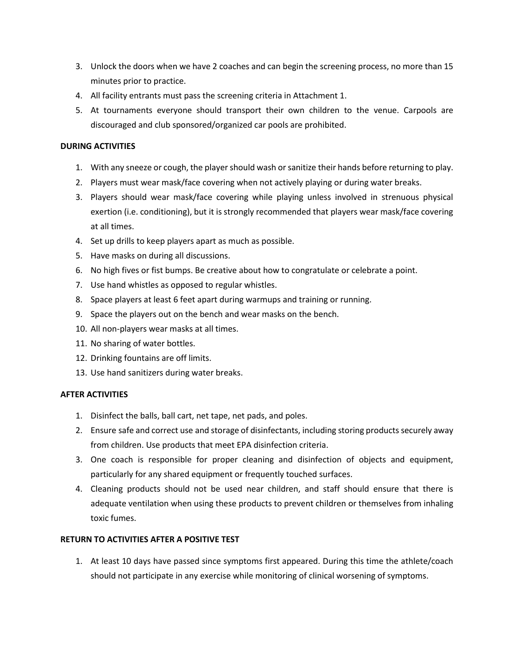- 3. Unlock the doors when we have 2 coaches and can begin the screening process, no more than 15 minutes prior to practice.
- 4. All facility entrants must pass the screening criteria in Attachment 1.
- 5. At tournaments everyone should transport their own children to the venue. Carpools are discouraged and club sponsored/organized car pools are prohibited.

#### **DURING ACTIVITIES**

- 1. With any sneeze or cough, the player should wash or sanitize their hands before returning to play.
- 2. Players must wear mask/face covering when not actively playing or during water breaks.
- 3. Players should wear mask/face covering while playing unless involved in strenuous physical exertion (i.e. conditioning), but it is strongly recommended that players wear mask/face covering at all times.
- 4. Set up drills to keep players apart as much as possible.
- 5. Have masks on during all discussions.
- 6. No high fives or fist bumps. Be creative about how to congratulate or celebrate a point.
- 7. Use hand whistles as opposed to regular whistles.
- 8. Space players at least 6 feet apart during warmups and training or running.
- 9. Space the players out on the bench and wear masks on the bench.
- 10. All non-players wear masks at all times.
- 11. No sharing of water bottles.
- 12. Drinking fountains are off limits.
- 13. Use hand sanitizers during water breaks.

#### **AFTER ACTIVITIES**

- 1. Disinfect the balls, ball cart, net tape, net pads, and poles.
- 2. Ensure safe and correct use and storage of disinfectants, including storing products securely away from children. Use products that meet EPA disinfection criteria.
- 3. One coach is responsible for proper cleaning and disinfection of objects and equipment, particularly for any shared equipment or frequently touched surfaces.
- 4. Cleaning products should not be used near children, and staff should ensure that there is adequate ventilation when using these products to prevent children or themselves from inhaling toxic fumes.

#### **RETURN TO ACTIVITIES AFTER A POSITIVE TEST**

1. At least 10 days have passed since symptoms first appeared. During this time the athlete/coach should not participate in any exercise while monitoring of clinical worsening of symptoms.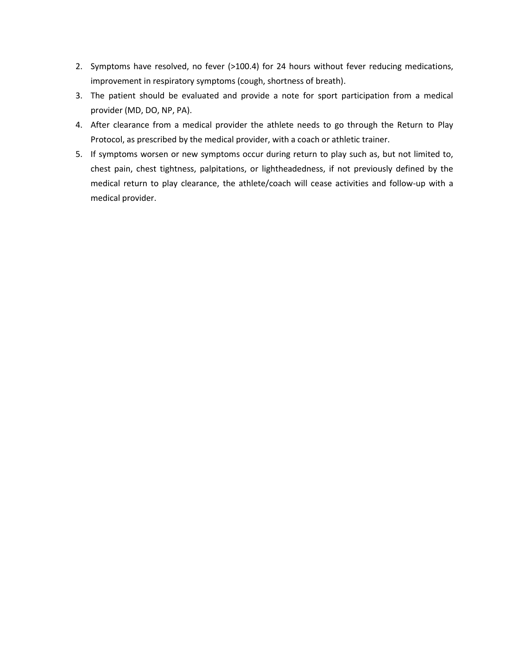- 2. Symptoms have resolved, no fever (>100.4) for 24 hours without fever reducing medications, improvement in respiratory symptoms (cough, shortness of breath).
- 3. The patient should be evaluated and provide a note for sport participation from a medical provider (MD, DO, NP, PA).
- 4. After clearance from a medical provider the athlete needs to go through the Return to Play Protocol, as prescribed by the medical provider, with a coach or athletic trainer.
- 5. If symptoms worsen or new symptoms occur during return to play such as, but not limited to, chest pain, chest tightness, palpitations, or lightheadedness, if not previously defined by the medical return to play clearance, the athlete/coach will cease activities and follow-up with a medical provider.